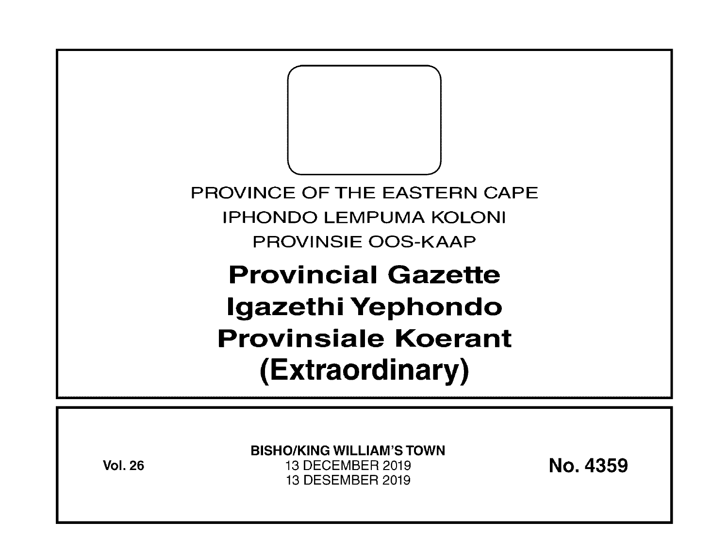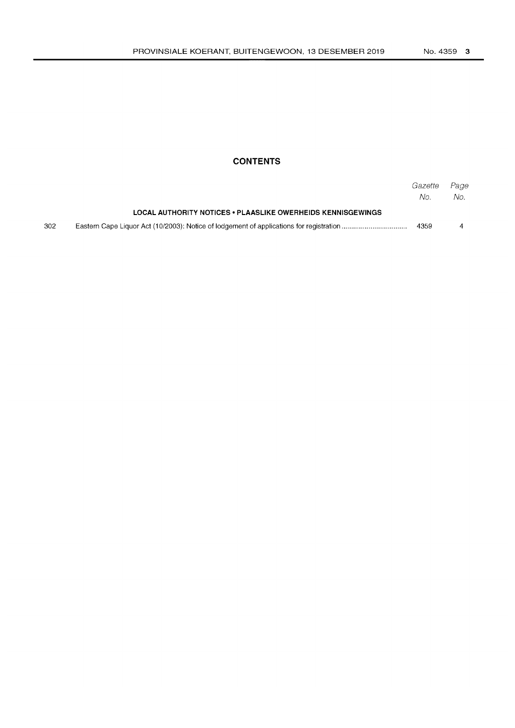## **CONTENTS**

|                                                                    |  | Gazette<br>No. | Page<br>No. |  |  |  |
|--------------------------------------------------------------------|--|----------------|-------------|--|--|--|
| <b>LOCAL AUTHORITY NOTICES . PLAASLIKE OWERHEIDS KENNISGEWINGS</b> |  |                |             |  |  |  |
| 302                                                                |  | 4359           | 4           |  |  |  |